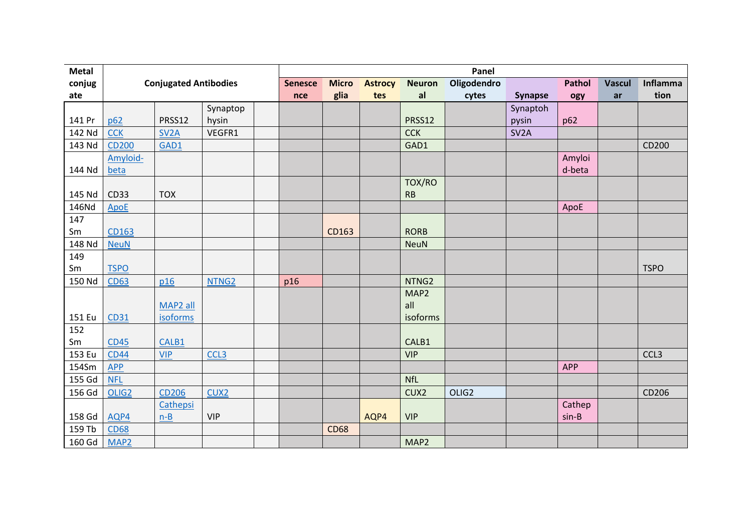| <b>Metal</b> |                   |                              |                   |              | Panel          |               |                   |                   |                   |               |                 |                  |  |  |
|--------------|-------------------|------------------------------|-------------------|--------------|----------------|---------------|-------------------|-------------------|-------------------|---------------|-----------------|------------------|--|--|
| conjug       |                   | <b>Conjugated Antibodies</b> | <b>Senesce</b>    | <b>Micro</b> | <b>Astrocy</b> | <b>Neuron</b> | Oligodendro       |                   | <b>Pathol</b>     | <b>Vascul</b> | <b>Inflamma</b> |                  |  |  |
| ate          |                   |                              |                   | nce          | glia           | tes           | al                | cytes             | <b>Synapse</b>    | ogy           | ar              | tion             |  |  |
|              |                   |                              | Synaptop          |              |                |               |                   |                   | Synaptoh          |               |                 |                  |  |  |
| 141 Pr       | p62               | PRSS12                       | hysin             |              |                |               | PRSS12            |                   | pysin             | p62           |                 |                  |  |  |
| 142 Nd       | <b>CCK</b>        | SV <sub>2</sub> A            | VEGFR1            |              |                |               | <b>CCK</b>        |                   | SV <sub>2</sub> A |               |                 |                  |  |  |
| 143 Nd       | <b>CD200</b>      | GAD1                         |                   |              |                |               | GAD1              |                   |                   |               |                 | CD200            |  |  |
|              | Amyloid-          |                              |                   |              |                |               |                   |                   |                   | Amyloi        |                 |                  |  |  |
| 144 Nd       | beta              |                              |                   |              |                |               |                   |                   |                   | d-beta        |                 |                  |  |  |
|              |                   |                              |                   |              |                |               | TOX/RO            |                   |                   |               |                 |                  |  |  |
| 145 Nd       | <b>CD33</b>       | <b>TOX</b>                   |                   |              |                |               | RB                |                   |                   |               |                 |                  |  |  |
| 146Nd        | <b>ApoE</b>       |                              |                   |              |                |               |                   |                   |                   | ApoE          |                 |                  |  |  |
| 147          |                   |                              |                   |              |                |               |                   |                   |                   |               |                 |                  |  |  |
| Sm           | CD163             |                              |                   |              | CD163          |               | <b>RORB</b>       |                   |                   |               |                 |                  |  |  |
| 148 Nd       | <b>NeuN</b>       |                              |                   |              |                |               | <b>NeuN</b>       |                   |                   |               |                 |                  |  |  |
| 149          |                   |                              |                   |              |                |               |                   |                   |                   |               |                 |                  |  |  |
| Sm           | <b>TSPO</b>       |                              |                   |              |                |               |                   |                   |                   |               |                 | <b>TSPO</b>      |  |  |
| 150 Nd       | <b>CD63</b>       | p16                          | NTNG <sub>2</sub> | p16          |                |               | NTNG <sub>2</sub> |                   |                   |               |                 |                  |  |  |
|              |                   |                              |                   |              |                |               | MAP2              |                   |                   |               |                 |                  |  |  |
|              |                   | MAP2 all                     |                   |              |                |               | all               |                   |                   |               |                 |                  |  |  |
| 151 Eu       | CD31              | <b>isoforms</b>              |                   |              |                |               | isoforms          |                   |                   |               |                 |                  |  |  |
| 152          |                   |                              |                   |              |                |               |                   |                   |                   |               |                 |                  |  |  |
| Sm           | <b>CD45</b>       | CALB1                        |                   |              |                |               | CALB1             |                   |                   |               |                 |                  |  |  |
| 153 Eu       | <b>CD44</b>       | <b>VIP</b>                   | CCL <sub>3</sub>  |              |                |               | <b>VIP</b>        |                   |                   |               |                 | CCL <sub>3</sub> |  |  |
| 154Sm        | <b>APP</b>        |                              |                   |              |                |               |                   |                   |                   | <b>APP</b>    |                 |                  |  |  |
| 155 Gd       | <b>NFL</b>        |                              |                   |              |                |               | <b>NfL</b>        |                   |                   |               |                 |                  |  |  |
| 156 Gd       | OLIG <sub>2</sub> | <b>CD206</b>                 | CUX <sub>2</sub>  |              |                |               | CUX2              | OLIG <sub>2</sub> |                   |               |                 | CD206            |  |  |
|              |                   | Cathepsi                     |                   |              |                |               |                   |                   |                   | Cathep        |                 |                  |  |  |
| 158 Gd       | AQP4              | $n-B$                        | <b>VIP</b>        |              |                | AQP4          | <b>VIP</b>        |                   |                   | $sin-B$       |                 |                  |  |  |
| 159 Tb       | <b>CD68</b>       |                              |                   |              | <b>CD68</b>    |               |                   |                   |                   |               |                 |                  |  |  |
| 160 Gd       | MAP <sub>2</sub>  |                              |                   |              |                |               | MAP2              |                   |                   |               |                 |                  |  |  |